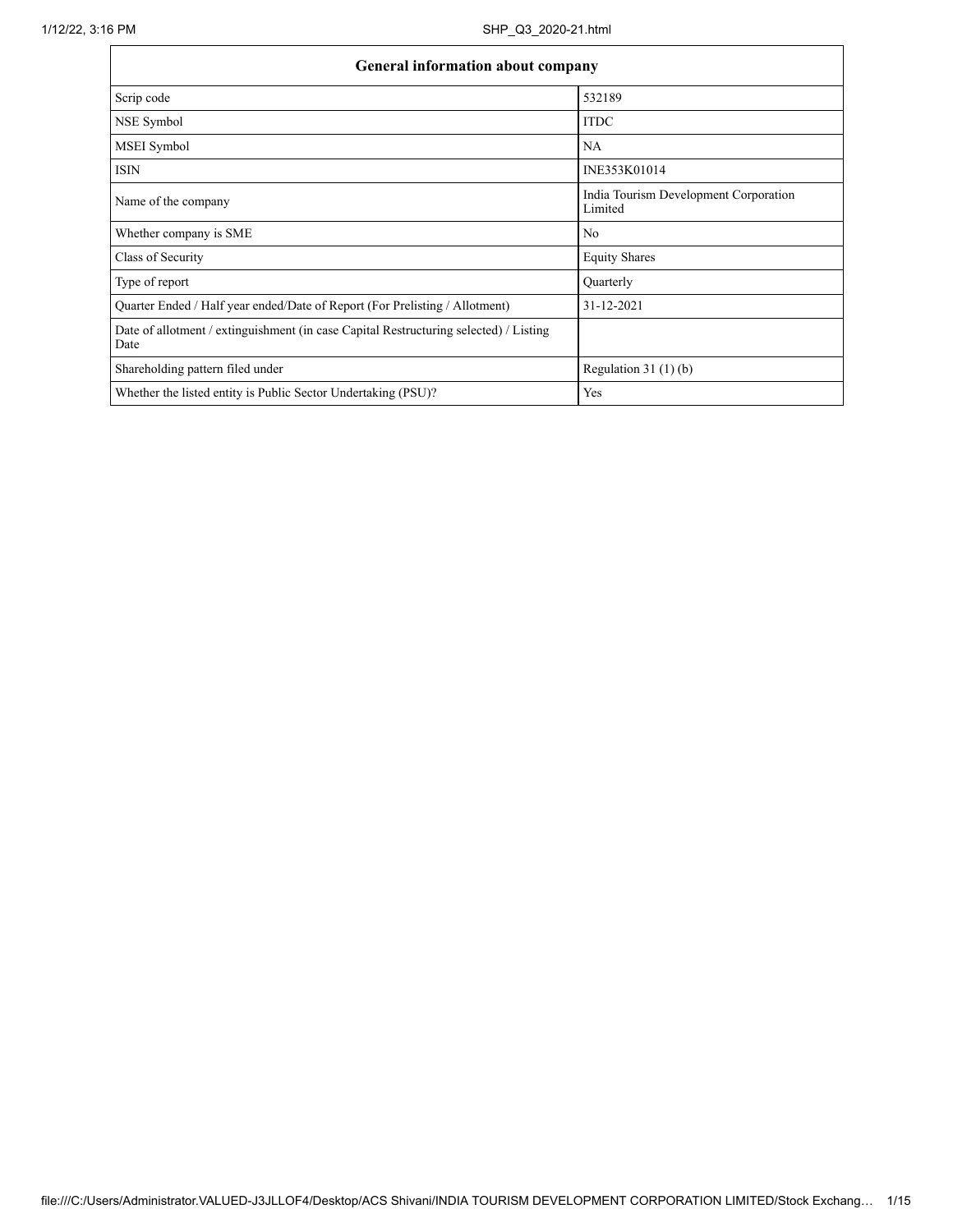| <b>General information about company</b>                                                      |                                                  |
|-----------------------------------------------------------------------------------------------|--------------------------------------------------|
| Scrip code                                                                                    | 532189                                           |
| NSE Symbol                                                                                    | <b>ITDC</b>                                      |
| <b>MSEI</b> Symbol                                                                            | NA                                               |
| <b>ISIN</b>                                                                                   | INE353K01014                                     |
| Name of the company                                                                           | India Tourism Development Corporation<br>Limited |
| Whether company is SME                                                                        | No                                               |
| Class of Security                                                                             | <b>Equity Shares</b>                             |
| Type of report                                                                                | Quarterly                                        |
| Quarter Ended / Half year ended/Date of Report (For Prelisting / Allotment)                   | 31-12-2021                                       |
| Date of allotment / extinguishment (in case Capital Restructuring selected) / Listing<br>Date |                                                  |
| Shareholding pattern filed under                                                              | Regulation $31(1)(b)$                            |
| Whether the listed entity is Public Sector Undertaking (PSU)?                                 | Yes                                              |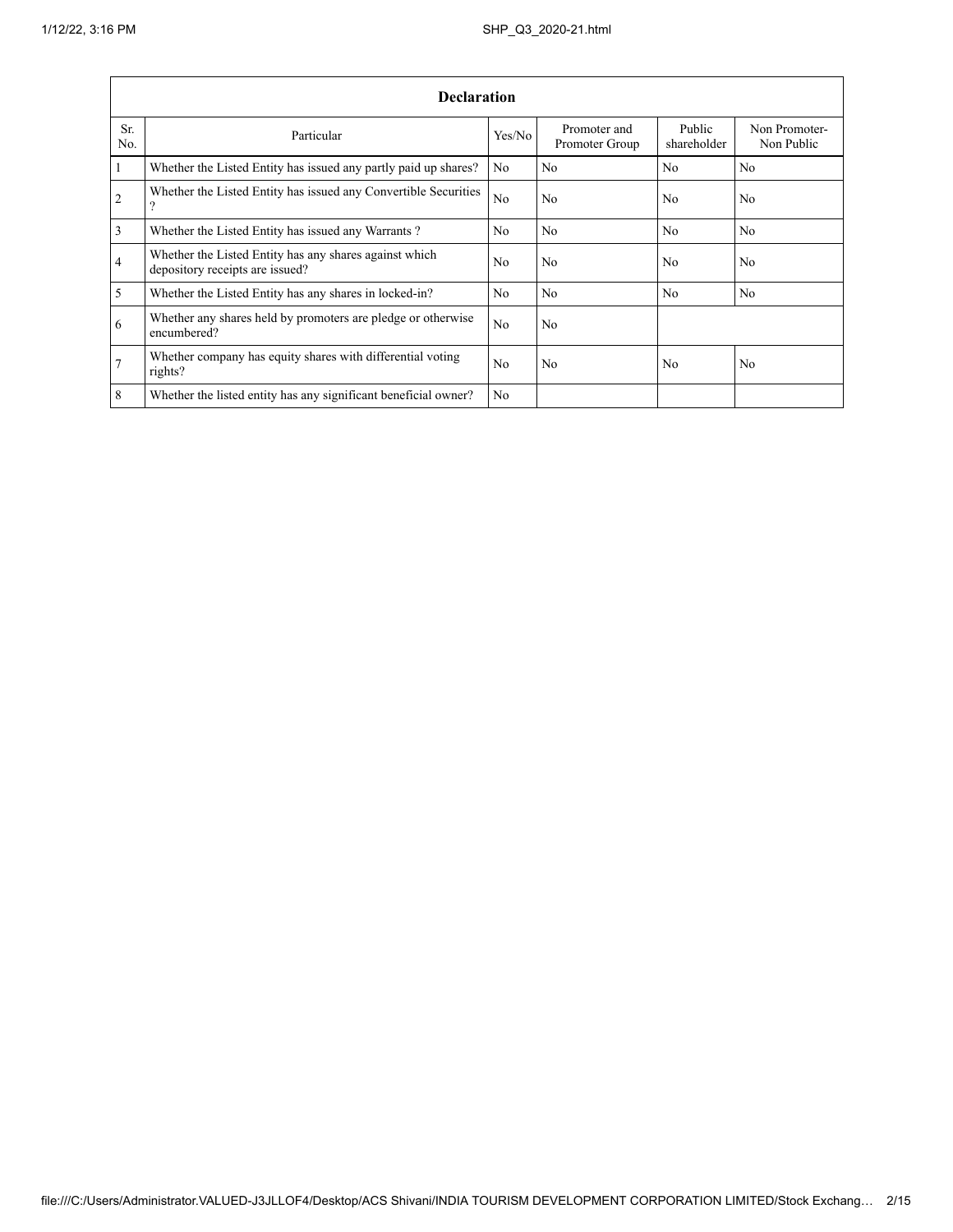|                         | <b>Declaration</b>                                                                        |                |                                |                       |                             |  |  |  |  |  |  |  |  |
|-------------------------|-------------------------------------------------------------------------------------------|----------------|--------------------------------|-----------------------|-----------------------------|--|--|--|--|--|--|--|--|
| Sr.<br>N <sub>0</sub>   | Particular                                                                                | Yes/No         | Promoter and<br>Promoter Group | Public<br>shareholder | Non Promoter-<br>Non Public |  |  |  |  |  |  |  |  |
| 1                       | Whether the Listed Entity has issued any partly paid up shares?                           | N <sub>0</sub> | No.                            | N <sub>0</sub>        | N <sub>0</sub>              |  |  |  |  |  |  |  |  |
| $\overline{2}$          | Whether the Listed Entity has issued any Convertible Securities<br>$\Omega$               | N <sub>0</sub> | No                             | N <sub>0</sub>        | No                          |  |  |  |  |  |  |  |  |
| $\overline{\mathbf{3}}$ | Whether the Listed Entity has issued any Warrants?                                        | N <sub>0</sub> | No.                            | N <sub>0</sub>        | N <sub>0</sub>              |  |  |  |  |  |  |  |  |
| $\overline{4}$          | Whether the Listed Entity has any shares against which<br>depository receipts are issued? | N <sub>0</sub> | No.                            | N <sub>0</sub>        | N <sub>0</sub>              |  |  |  |  |  |  |  |  |
| 5                       | Whether the Listed Entity has any shares in locked-in?                                    | N <sub>0</sub> | No.                            | N <sub>0</sub>        | N <sub>0</sub>              |  |  |  |  |  |  |  |  |
| 6                       | Whether any shares held by promoters are pledge or otherwise<br>encumbered?               | N <sub>0</sub> | No                             |                       |                             |  |  |  |  |  |  |  |  |
| .7                      | Whether company has equity shares with differential voting<br>rights?                     | No             | No.                            | N <sub>0</sub>        | N <sub>0</sub>              |  |  |  |  |  |  |  |  |
| 8                       | Whether the listed entity has any significant beneficial owner?                           | N <sub>0</sub> |                                |                       |                             |  |  |  |  |  |  |  |  |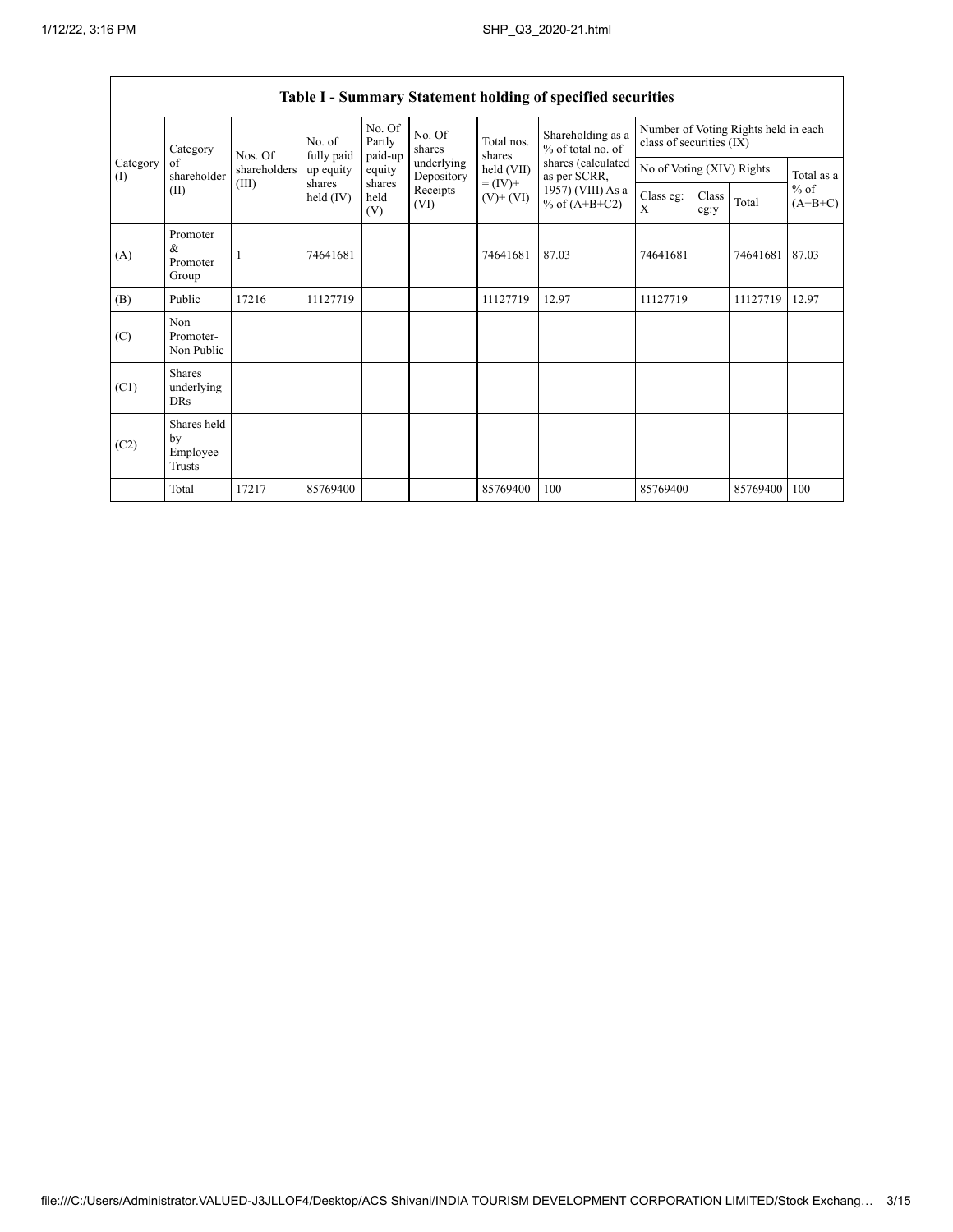| $v$ ummur $y$<br>statement noiume of specified security |                                           |              |                      |                             |                          |                                                                |                                        |                                                                  |               |          |                                   |
|---------------------------------------------------------|-------------------------------------------|--------------|----------------------|-----------------------------|--------------------------|----------------------------------------------------------------|----------------------------------------|------------------------------------------------------------------|---------------|----------|-----------------------------------|
|                                                         | Category                                  | Nos. Of      | No. of<br>fully paid | No. Of<br>Partly<br>paid-up | No. Of<br>shares         | Total nos.<br>shares<br>held (VII)<br>$= (IV) +$<br>$(V)+(VI)$ | Shareholding as a<br>% of total no. of | Number of Voting Rights held in each<br>class of securities (IX) |               |          |                                   |
| Category<br>(I)                                         | of<br>shareholder                         | shareholders | up equity            | equity                      | underlying<br>Depository |                                                                | shares (calculated<br>as per SCRR,     | No of Voting (XIV) Rights                                        |               |          | Total as a<br>$%$ of<br>$(A+B+C)$ |
|                                                         | (II)                                      | (III)        | shares<br>held (IV)  | shares<br>held<br>(V)       | Receipts<br>(VI)         |                                                                | 1957) (VIII) As a<br>% of $(A+B+C2)$   | Class eg:<br>X                                                   | Class<br>eg:y | Total    |                                   |
| (A)                                                     | Promoter<br>&<br>Promoter<br>Group        |              | 74641681             |                             |                          | 74641681                                                       | 87.03                                  | 74641681                                                         |               | 74641681 | 87.03                             |
| (B)                                                     | Public                                    | 17216        | 11127719             |                             |                          | 11127719                                                       | 12.97                                  | 11127719                                                         |               | 11127719 | 12.97                             |
| (C)                                                     | Non<br>Promoter-<br>Non Public            |              |                      |                             |                          |                                                                |                                        |                                                                  |               |          |                                   |
| (C1)                                                    | <b>Shares</b><br>underlying<br><b>DRs</b> |              |                      |                             |                          |                                                                |                                        |                                                                  |               |          |                                   |
| (C2)                                                    | Shares held<br>by<br>Employee<br>Trusts   |              |                      |                             |                          |                                                                |                                        |                                                                  |               |          |                                   |
|                                                         | Total                                     | 17217        | 85769400             |                             |                          | 85769400                                                       | 100                                    | 85769400                                                         |               | 85769400 | 100                               |

## Table I - Summary Statement holding of specified securities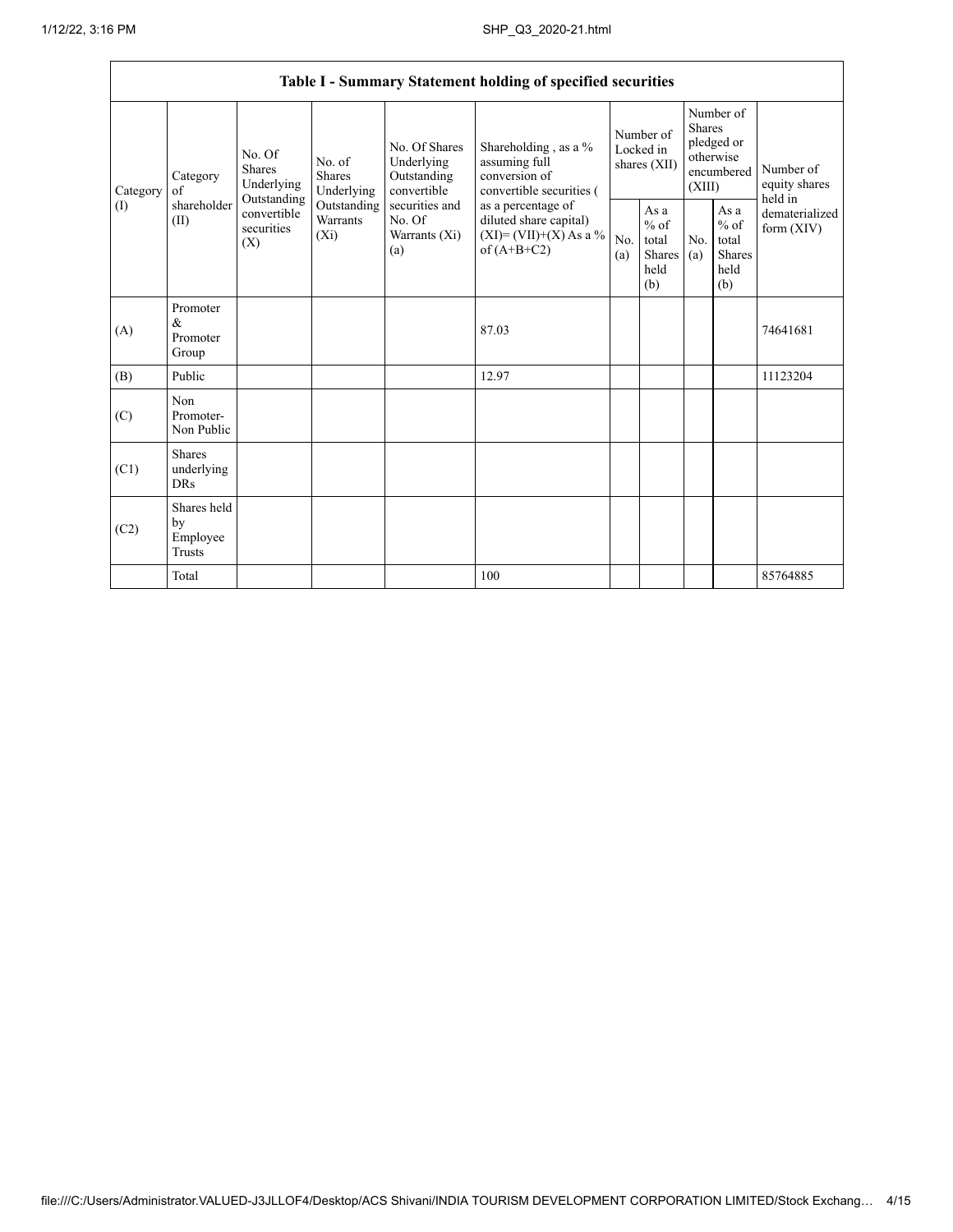Г

|          |                |                                                      |                                       |                                                           |                                                                                        | Table I - Summary Statement holding of specified securities                              |            |                                                                               |            |                                                         |                                |
|----------|----------------|------------------------------------------------------|---------------------------------------|-----------------------------------------------------------|----------------------------------------------------------------------------------------|------------------------------------------------------------------------------------------|------------|-------------------------------------------------------------------------------|------------|---------------------------------------------------------|--------------------------------|
| Category | Category<br>of | No. Of<br><b>Shares</b><br>Underlying<br>Outstanding | No. of<br><b>Shares</b><br>Underlying | No. Of Shares<br>Underlying<br>Outstanding<br>convertible | Shareholding , as a $\%$<br>assuming full<br>conversion of<br>convertible securities ( | Number of<br>Locked in<br>shares (XII)                                                   |            | Number of<br><b>Shares</b><br>pledged or<br>otherwise<br>encumbered<br>(XIII) |            | Number of<br>equity shares<br>held in                   |                                |
|          | (I)            | shareholder<br>(II)                                  | convertible<br>securities<br>(X)      | Outstanding<br>Warrants<br>$(X_i)$                        | securities and<br>No. Of<br>Warrants (Xi)<br>(a)                                       | as a percentage of<br>diluted share capital)<br>$(XI)=(VII)+(X) As a %$<br>of $(A+B+C2)$ | No.<br>(a) | As a<br>$%$ of<br>total<br><b>Shares</b><br>held<br>(b)                       | No.<br>(a) | As a<br>$%$ of<br>total<br><b>Shares</b><br>held<br>(b) | dematerialized<br>form $(XIV)$ |
|          | (A)            | Promoter<br>&<br>Promoter<br>Group                   |                                       |                                                           |                                                                                        | 87.03                                                                                    |            |                                                                               |            |                                                         | 74641681                       |
|          | (B)            | Public                                               |                                       |                                                           |                                                                                        | 12.97                                                                                    |            |                                                                               |            |                                                         | 11123204                       |
|          | (C)            | Non<br>Promoter-<br>Non Public                       |                                       |                                                           |                                                                                        |                                                                                          |            |                                                                               |            |                                                         |                                |
|          | (C1)           | <b>Shares</b><br>underlying<br><b>DRs</b>            |                                       |                                                           |                                                                                        |                                                                                          |            |                                                                               |            |                                                         |                                |
|          | (C2)           | Shares held<br>by<br>Employee<br>Trusts              |                                       |                                                           |                                                                                        |                                                                                          |            |                                                                               |            |                                                         |                                |
|          |                | Total                                                |                                       |                                                           |                                                                                        | 100                                                                                      |            |                                                                               |            |                                                         | 85764885                       |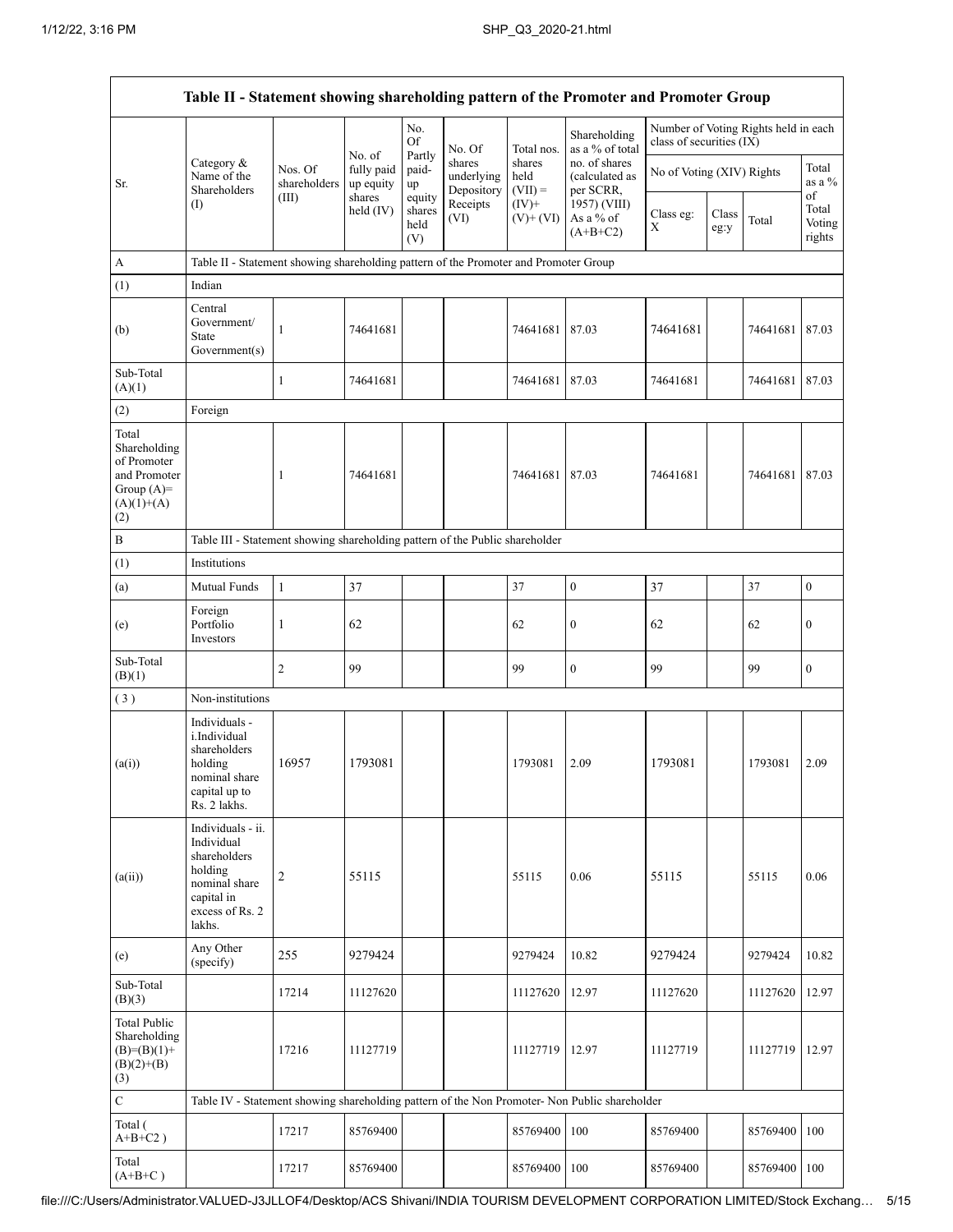Г

|                                                                                             | Table II - Statement showing shareholding pattern of the Promoter and Promoter Group                                   |                                  |                                   |                                 |                                    |                             |                                              |                           |               |                                      |                                 |  |
|---------------------------------------------------------------------------------------------|------------------------------------------------------------------------------------------------------------------------|----------------------------------|-----------------------------------|---------------------------------|------------------------------------|-----------------------------|----------------------------------------------|---------------------------|---------------|--------------------------------------|---------------------------------|--|
|                                                                                             |                                                                                                                        |                                  |                                   | No.<br>Of                       | No. Of                             | Total nos.                  | Shareholding<br>as a % of total              | class of securities (IX)  |               | Number of Voting Rights held in each |                                 |  |
| Sr.                                                                                         | Category &<br>Name of the<br>Shareholders<br>(I)                                                                       | Nos. Of<br>shareholders<br>(III) | No. of<br>fully paid<br>up equity | Partly<br>paid-<br>up           | shares<br>underlying<br>Depository | shares<br>held<br>$(VII) =$ | no. of shares<br>(calculated as<br>per SCRR, | No of Voting (XIV) Rights |               |                                      | Total<br>as a %                 |  |
|                                                                                             |                                                                                                                        |                                  | shares<br>held (IV)               | equity<br>shares<br>held<br>(V) | Receipts<br>(VI)                   | $(IV)+$<br>$(V)+(VI)$       | 1957) (VIII)<br>As a % of<br>$(A+B+C2)$      | Class eg:<br>X            | Class<br>eg:y | Total                                | of<br>Total<br>Voting<br>rights |  |
| A                                                                                           | Table II - Statement showing shareholding pattern of the Promoter and Promoter Group                                   |                                  |                                   |                                 |                                    |                             |                                              |                           |               |                                      |                                 |  |
| (1)                                                                                         | Indian                                                                                                                 |                                  |                                   |                                 |                                    |                             |                                              |                           |               |                                      |                                 |  |
| (b)                                                                                         | Central<br>Government/<br>State<br>Government(s)                                                                       | $\mathbf{1}$                     | 74641681                          |                                 |                                    | 74641681                    | 87.03                                        | 74641681                  |               | 74641681                             | 87.03                           |  |
| Sub-Total<br>(A)(1)                                                                         |                                                                                                                        | 1                                | 74641681                          |                                 |                                    | 74641681 87.03              |                                              | 74641681                  |               | 74641681                             | 87.03                           |  |
| (2)                                                                                         | Foreign                                                                                                                |                                  |                                   |                                 |                                    |                             |                                              |                           |               |                                      |                                 |  |
| Total<br>Shareholding<br>of Promoter<br>and Promoter<br>Group $(A)=$<br>$(A)(1)+(A)$<br>(2) |                                                                                                                        | 1                                | 74641681                          |                                 |                                    | 74641681 87.03              |                                              | 74641681                  |               | 74641681                             | 87.03                           |  |
| $\, {\bf B}$                                                                                | Table III - Statement showing shareholding pattern of the Public shareholder                                           |                                  |                                   |                                 |                                    |                             |                                              |                           |               |                                      |                                 |  |
| (1)                                                                                         | Institutions                                                                                                           |                                  |                                   |                                 |                                    |                             |                                              |                           |               |                                      |                                 |  |
| (a)                                                                                         | Mutual Funds                                                                                                           | $\mathbf{1}$                     | 37                                |                                 |                                    | 37                          | $\boldsymbol{0}$                             | 37                        |               | 37                                   | $\boldsymbol{0}$                |  |
| (e)                                                                                         | Foreign<br>Portfolio<br>Investors                                                                                      | 1                                | 62                                |                                 |                                    | 62                          | $\boldsymbol{0}$                             | 62                        |               | 62                                   | $\boldsymbol{0}$                |  |
| Sub-Total<br>(B)(1)                                                                         |                                                                                                                        | $\overline{2}$                   | 99                                |                                 |                                    | 99                          | $\boldsymbol{0}$                             | 99                        |               | 99                                   | $\boldsymbol{0}$                |  |
| (3)                                                                                         | Non-institutions                                                                                                       |                                  |                                   |                                 |                                    |                             |                                              |                           |               |                                      |                                 |  |
| (a(i))                                                                                      | Individuals -<br>i.Individual<br>shareholders<br>holding<br>nominal share<br>capital up to<br>Rs. 2 lakhs.             | 16957                            | 1793081                           |                                 |                                    | 1793081                     | 2.09                                         | 1793081                   |               | 1793081                              | 2.09                            |  |
| (a(ii))                                                                                     | Individuals - ii.<br>Individual<br>shareholders<br>holding<br>nominal share<br>capital in<br>excess of Rs. 2<br>lakhs. | $\boldsymbol{2}$                 | 55115                             |                                 |                                    | 55115                       | 0.06                                         | 55115                     |               | 55115                                | 0.06                            |  |
| (e)                                                                                         | Any Other<br>(specify)                                                                                                 | 255                              | 9279424                           |                                 |                                    | 9279424                     | 10.82                                        | 9279424                   |               | 9279424                              | 10.82                           |  |
| Sub-Total<br>(B)(3)                                                                         |                                                                                                                        | 17214                            | 11127620                          |                                 |                                    | 11127620                    | 12.97                                        | 11127620                  |               | 11127620                             | 12.97                           |  |
| <b>Total Public</b><br>Shareholding<br>$(B)=(B)(1)+$<br>$(B)(2)+(B)$<br>(3)                 |                                                                                                                        | 17216                            | 11127719                          |                                 |                                    | 11127719                    | 12.97                                        | 11127719                  |               | 11127719                             | 12.97                           |  |
| $\mathbf C$                                                                                 | Table IV - Statement showing shareholding pattern of the Non Promoter- Non Public shareholder                          |                                  |                                   |                                 |                                    |                             |                                              |                           |               |                                      |                                 |  |
| Total (<br>$A+B+C2$ )                                                                       |                                                                                                                        | 17217                            | 85769400                          |                                 |                                    | 85769400                    | 100                                          | 85769400                  |               | 85769400                             | 100                             |  |
| Total<br>$(A+B+C)$                                                                          |                                                                                                                        | 17217                            | 85769400                          |                                 |                                    | 85769400                    | 100                                          | 85769400                  |               | 85769400                             | 100                             |  |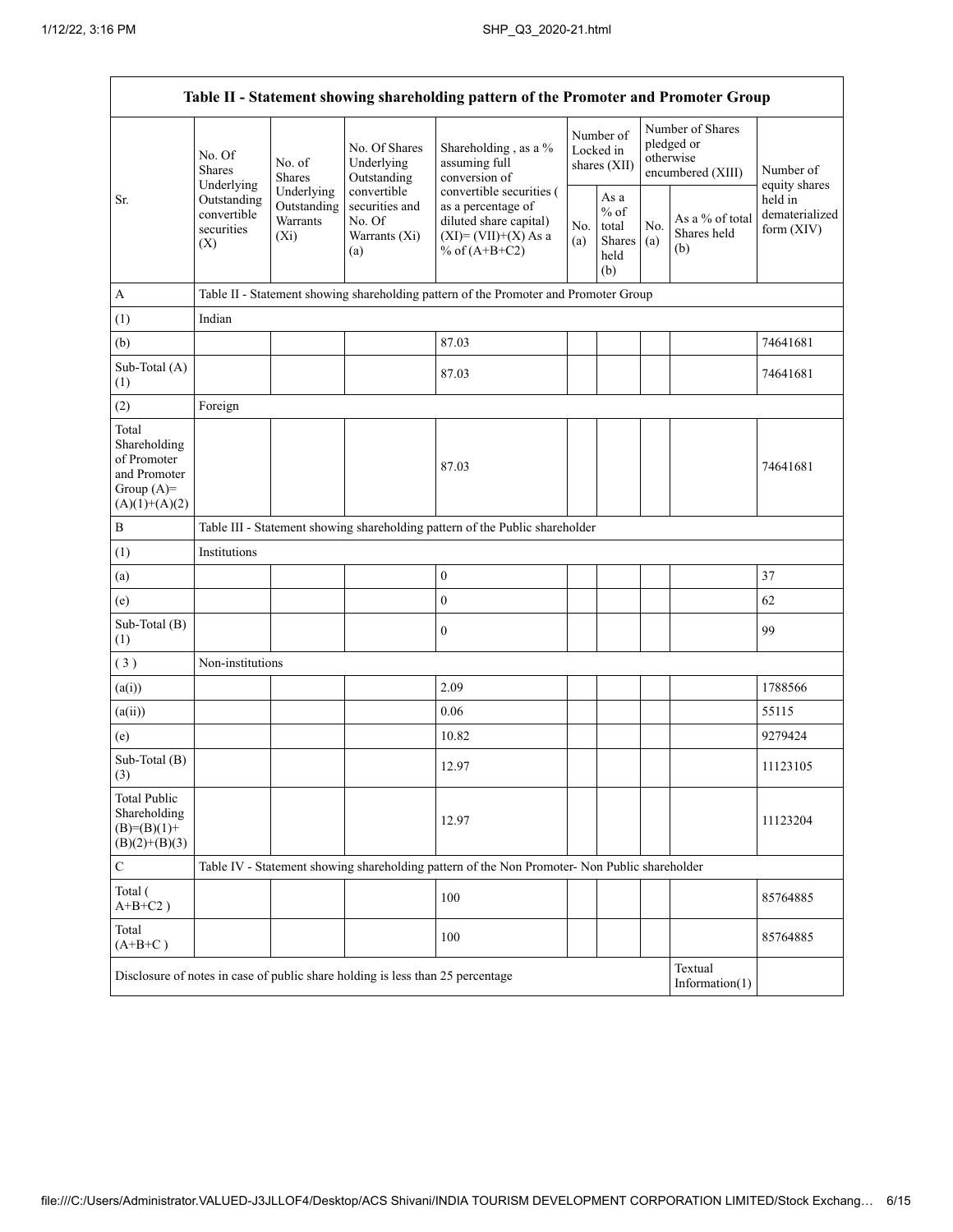| Table II - Statement showing shareholding pattern of the Promoter and Promoter Group    |                                                                                                     |                                                                                      |                                                                                |                                                                                                                      |                                        |                                                  |                                                                  |                                       |                                         |  |  |  |
|-----------------------------------------------------------------------------------------|-----------------------------------------------------------------------------------------------------|--------------------------------------------------------------------------------------|--------------------------------------------------------------------------------|----------------------------------------------------------------------------------------------------------------------|----------------------------------------|--------------------------------------------------|------------------------------------------------------------------|---------------------------------------|-----------------------------------------|--|--|--|
|                                                                                         | No. Of<br><b>Shares</b><br>Underlying                                                               | No. of<br><b>Shares</b>                                                              | No. Of Shares<br>Underlying<br>Outstanding                                     | Shareholding, as a %<br>assuming full<br>conversion of                                                               | Number of<br>Locked in<br>shares (XII) |                                                  | Number of Shares<br>pledged or<br>otherwise<br>encumbered (XIII) |                                       | Number of<br>equity shares              |  |  |  |
| Sr.                                                                                     | Underlying<br>Outstanding<br>Outstanding<br>convertible<br>Warrants<br>securities<br>$(X_i)$<br>(X) |                                                                                      | convertible<br>securities and<br>No. Of<br>Warrants (Xi)<br>(a)                | convertible securities (<br>as a percentage of<br>diluted share capital)<br>$(XI)=(VII)+(X) As a$<br>% of $(A+B+C2)$ | No.<br>(a)                             | As a<br>$%$ of<br>total<br>Shares<br>held<br>(b) | No.<br>(a)                                                       | As a % of total<br>Shares held<br>(b) | held in<br>dematerialized<br>form (XIV) |  |  |  |
| $\mathbf{A}$                                                                            |                                                                                                     | Table II - Statement showing shareholding pattern of the Promoter and Promoter Group |                                                                                |                                                                                                                      |                                        |                                                  |                                                                  |                                       |                                         |  |  |  |
| (1)                                                                                     | Indian                                                                                              |                                                                                      |                                                                                |                                                                                                                      |                                        |                                                  |                                                                  |                                       |                                         |  |  |  |
| (b)                                                                                     |                                                                                                     |                                                                                      |                                                                                | 87.03                                                                                                                |                                        |                                                  |                                                                  |                                       | 74641681                                |  |  |  |
| Sub-Total (A)<br>(1)                                                                    |                                                                                                     |                                                                                      |                                                                                | 87.03                                                                                                                |                                        |                                                  |                                                                  |                                       | 74641681                                |  |  |  |
| (2)                                                                                     | Foreign                                                                                             |                                                                                      |                                                                                |                                                                                                                      |                                        |                                                  |                                                                  |                                       |                                         |  |  |  |
| Total<br>Shareholding<br>of Promoter<br>and Promoter<br>Group $(A)=$<br>$(A)(1)+(A)(2)$ |                                                                                                     |                                                                                      |                                                                                | 87.03                                                                                                                |                                        |                                                  |                                                                  |                                       | 74641681                                |  |  |  |
| $\, {\bf B}$                                                                            |                                                                                                     |                                                                                      |                                                                                | Table III - Statement showing shareholding pattern of the Public shareholder                                         |                                        |                                                  |                                                                  |                                       |                                         |  |  |  |
| (1)                                                                                     | Institutions                                                                                        |                                                                                      |                                                                                |                                                                                                                      |                                        |                                                  |                                                                  |                                       |                                         |  |  |  |
| (a)                                                                                     |                                                                                                     |                                                                                      |                                                                                | $\boldsymbol{0}$                                                                                                     |                                        |                                                  |                                                                  |                                       | 37                                      |  |  |  |
| (e)                                                                                     |                                                                                                     |                                                                                      |                                                                                | $\boldsymbol{0}$                                                                                                     |                                        |                                                  |                                                                  |                                       | 62                                      |  |  |  |
| Sub-Total (B)<br>(1)                                                                    |                                                                                                     |                                                                                      |                                                                                | $\boldsymbol{0}$                                                                                                     |                                        |                                                  |                                                                  |                                       | 99                                      |  |  |  |
| (3)                                                                                     | Non-institutions                                                                                    |                                                                                      |                                                                                |                                                                                                                      |                                        |                                                  |                                                                  |                                       |                                         |  |  |  |
| (a(i))                                                                                  |                                                                                                     |                                                                                      |                                                                                | 2.09                                                                                                                 |                                        |                                                  |                                                                  |                                       | 1788566                                 |  |  |  |
| (a(ii))                                                                                 |                                                                                                     |                                                                                      |                                                                                | 0.06                                                                                                                 |                                        |                                                  |                                                                  |                                       | 55115                                   |  |  |  |
| (e)                                                                                     |                                                                                                     |                                                                                      |                                                                                | 10.82                                                                                                                |                                        |                                                  |                                                                  |                                       | 9279424                                 |  |  |  |
| Sub-Total (B)<br>(3)                                                                    |                                                                                                     |                                                                                      |                                                                                | 12.97                                                                                                                |                                        |                                                  |                                                                  |                                       | 11123105                                |  |  |  |
| <b>Total Public</b><br>Shareholding<br>$(B)= (B)(1) +$<br>$(B)(2)+(B)(3)$               |                                                                                                     |                                                                                      |                                                                                | 12.97                                                                                                                |                                        |                                                  |                                                                  |                                       | 11123204                                |  |  |  |
| $\mathbf C$                                                                             |                                                                                                     |                                                                                      |                                                                                | Table IV - Statement showing shareholding pattern of the Non Promoter- Non Public shareholder                        |                                        |                                                  |                                                                  |                                       |                                         |  |  |  |
| Total (<br>$A+B+C2$ )                                                                   |                                                                                                     |                                                                                      |                                                                                | 100                                                                                                                  |                                        |                                                  |                                                                  |                                       | 85764885                                |  |  |  |
| Total<br>$(A+B+C)$                                                                      |                                                                                                     |                                                                                      |                                                                                | 100                                                                                                                  |                                        |                                                  |                                                                  |                                       | 85764885                                |  |  |  |
|                                                                                         |                                                                                                     |                                                                                      | Disclosure of notes in case of public share holding is less than 25 percentage |                                                                                                                      |                                        |                                                  |                                                                  | Textual<br>Information $(1)$          |                                         |  |  |  |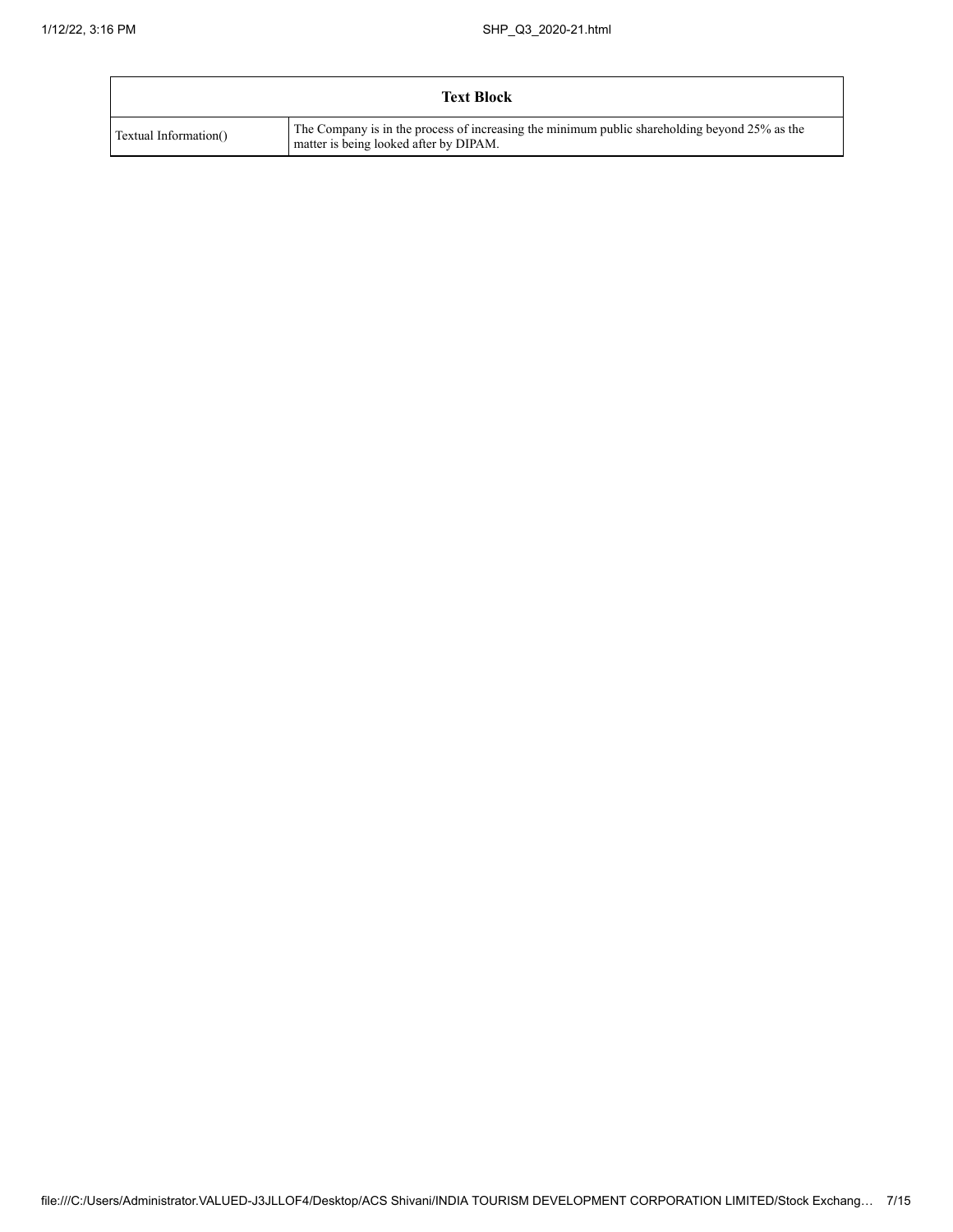|                       | <b>Text Block</b>                                                                                                                       |
|-----------------------|-----------------------------------------------------------------------------------------------------------------------------------------|
| Textual Information() | The Company is in the process of increasing the minimum public shareholding beyond 25% as the<br>matter is being looked after by DIPAM. |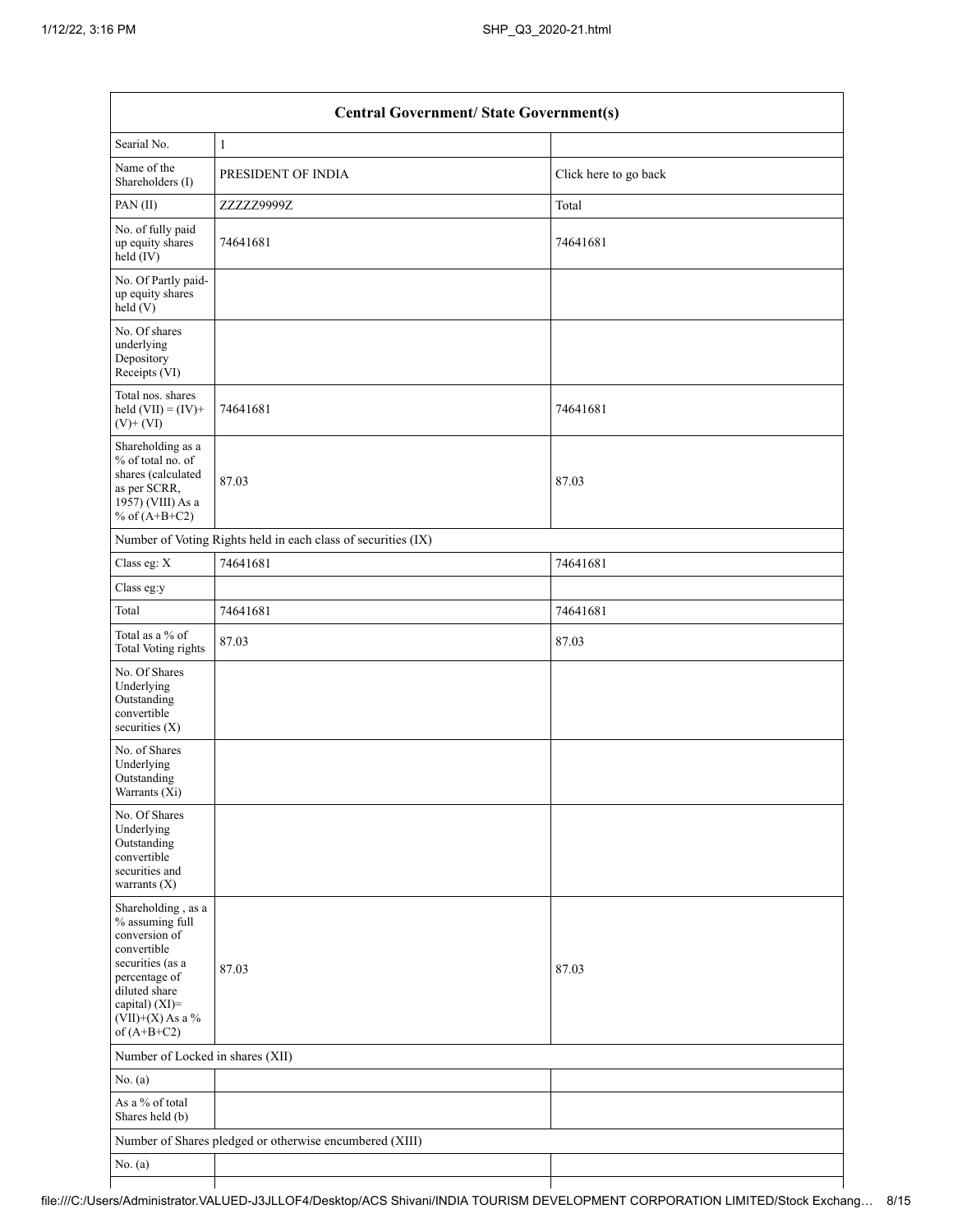|                                                                                                                                                                                      | <b>Central Government/ State Government(s)</b>                |                       |  |  |  |  |  |  |  |  |
|--------------------------------------------------------------------------------------------------------------------------------------------------------------------------------------|---------------------------------------------------------------|-----------------------|--|--|--|--|--|--|--|--|
| Searial No.                                                                                                                                                                          | $\mathbf{1}$                                                  |                       |  |  |  |  |  |  |  |  |
| Name of the<br>Shareholders (I)                                                                                                                                                      | PRESIDENT OF INDIA                                            | Click here to go back |  |  |  |  |  |  |  |  |
| PAN(II)                                                                                                                                                                              | ZZZZZ9999Z                                                    | Total                 |  |  |  |  |  |  |  |  |
| No. of fully paid<br>up equity shares<br>$\text{held}(\text{IV})$                                                                                                                    | 74641681                                                      | 74641681              |  |  |  |  |  |  |  |  |
| No. Of Partly paid-<br>up equity shares<br>held $(V)$                                                                                                                                |                                                               |                       |  |  |  |  |  |  |  |  |
| No. Of shares<br>underlying<br>Depository<br>Receipts (VI)                                                                                                                           |                                                               |                       |  |  |  |  |  |  |  |  |
| Total nos. shares<br>held $(VII) = (IV) +$<br>$(V)$ + $(VI)$                                                                                                                         | 74641681                                                      | 74641681              |  |  |  |  |  |  |  |  |
| Shareholding as a<br>% of total no. of<br>shares (calculated<br>as per SCRR,<br>1957) (VIII) As a<br>% of $(A+B+C2)$                                                                 | 87.03                                                         | 87.03                 |  |  |  |  |  |  |  |  |
|                                                                                                                                                                                      | Number of Voting Rights held in each class of securities (IX) |                       |  |  |  |  |  |  |  |  |
| Class eg: X                                                                                                                                                                          | 74641681                                                      | 74641681              |  |  |  |  |  |  |  |  |
| Class eg:y                                                                                                                                                                           |                                                               |                       |  |  |  |  |  |  |  |  |
| Total                                                                                                                                                                                | 74641681                                                      | 74641681              |  |  |  |  |  |  |  |  |
| Total as a % of<br>Total Voting rights                                                                                                                                               | 87.03                                                         | 87.03                 |  |  |  |  |  |  |  |  |
| No. Of Shares<br>Underlying<br>Outstanding<br>convertible<br>securities $(X)$                                                                                                        |                                                               |                       |  |  |  |  |  |  |  |  |
| No. of Shares<br>Underlying<br>Outstanding<br>Warrants (Xi)                                                                                                                          |                                                               |                       |  |  |  |  |  |  |  |  |
| No. Of Shares<br>Underlying<br>Outstanding<br>convertible<br>securities and<br>warrants $(X)$                                                                                        |                                                               |                       |  |  |  |  |  |  |  |  |
| Shareholding, as a<br>% assuming full<br>conversion of<br>convertible<br>securities (as a<br>percentage of<br>diluted share<br>capital) (XI)=<br>$(VII)+(X)$ As a %<br>of $(A+B+C2)$ | 87.03                                                         | 87.03                 |  |  |  |  |  |  |  |  |
| Number of Locked in shares (XII)                                                                                                                                                     |                                                               |                       |  |  |  |  |  |  |  |  |
| No. $(a)$                                                                                                                                                                            |                                                               |                       |  |  |  |  |  |  |  |  |
| As a % of total<br>Shares held (b)                                                                                                                                                   |                                                               |                       |  |  |  |  |  |  |  |  |
|                                                                                                                                                                                      | Number of Shares pledged or otherwise encumbered (XIII)       |                       |  |  |  |  |  |  |  |  |
| No. (a)                                                                                                                                                                              |                                                               |                       |  |  |  |  |  |  |  |  |
|                                                                                                                                                                                      |                                                               |                       |  |  |  |  |  |  |  |  |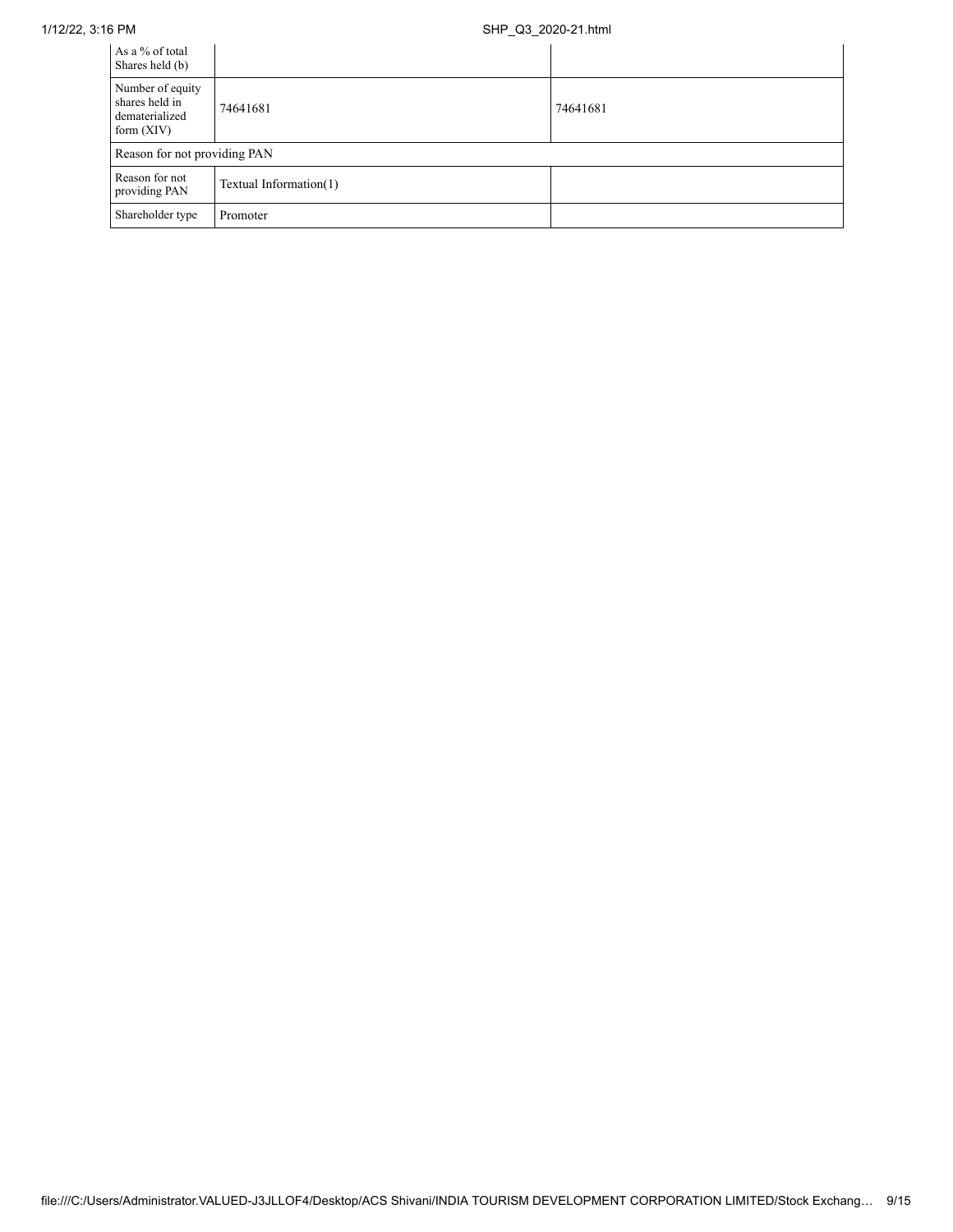## 1/12/22, 3:16 PM SHP\_Q3\_2020-21.html

| As a % of total<br>Shares held (b)                                   |                        |          |
|----------------------------------------------------------------------|------------------------|----------|
| Number of equity<br>shares held in<br>dematerialized<br>form $(XIV)$ | 74641681               | 74641681 |
| Reason for not providing PAN                                         |                        |          |
| Reason for not<br>providing PAN                                      | Textual Information(1) |          |
| Shareholder type                                                     | Promoter               |          |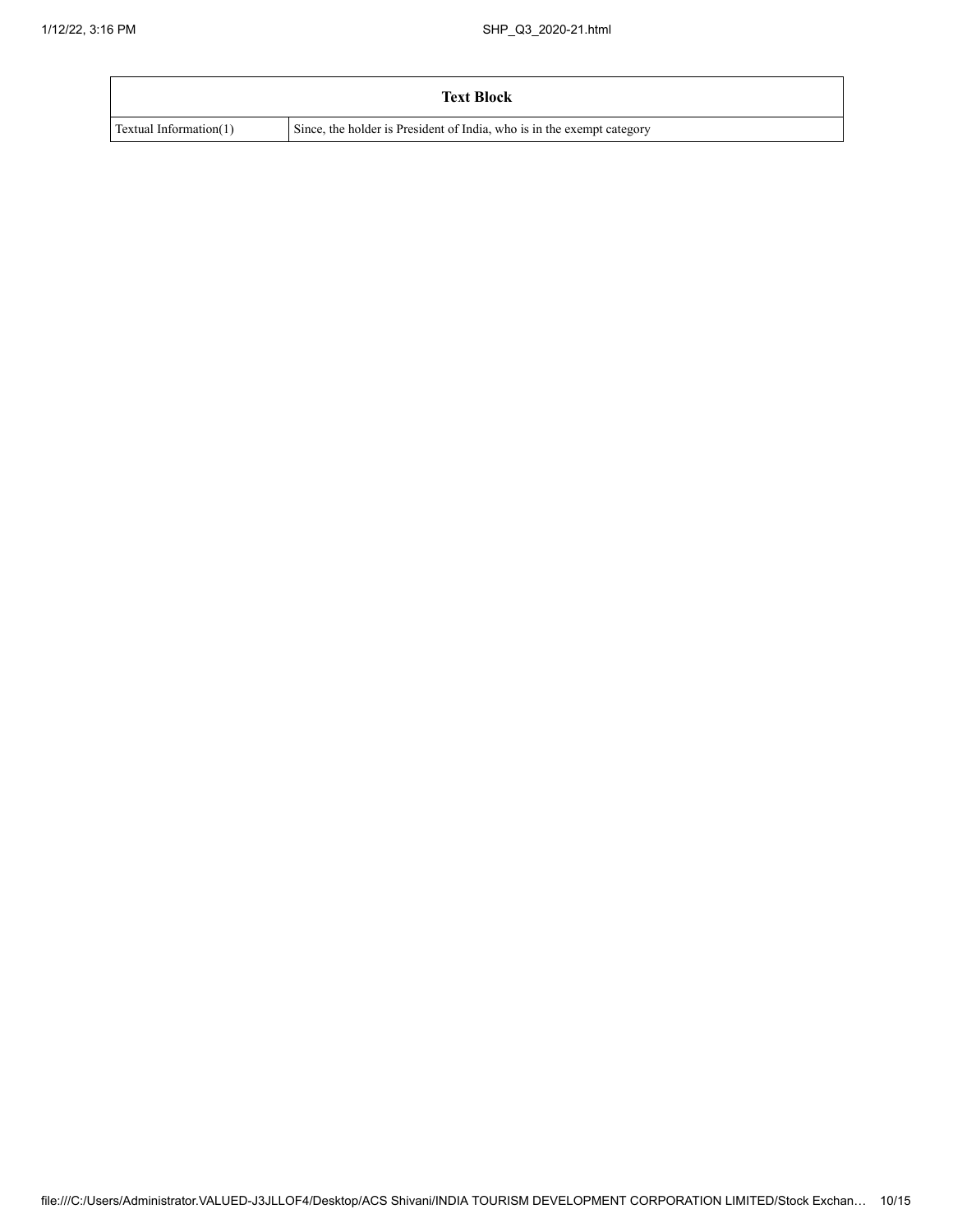|                               | <b>Text Block</b>                                                      |
|-------------------------------|------------------------------------------------------------------------|
| <b>Textual Information(1)</b> | Since, the holder is President of India, who is in the exempt category |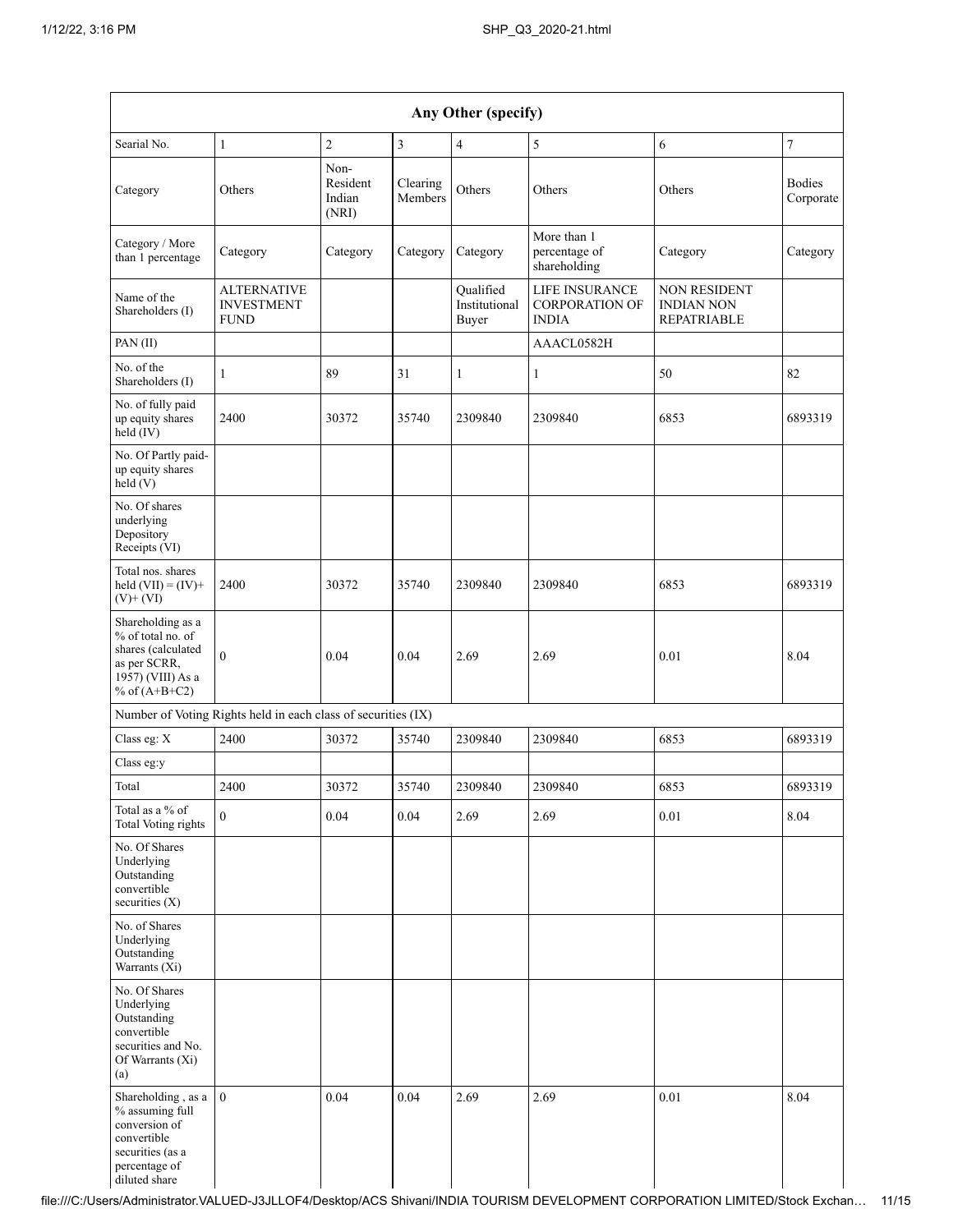| Any Other (specify)                                                                                                         |                                                               |                                     |                     |                                     |                                                         |                                                                |                            |  |  |  |  |
|-----------------------------------------------------------------------------------------------------------------------------|---------------------------------------------------------------|-------------------------------------|---------------------|-------------------------------------|---------------------------------------------------------|----------------------------------------------------------------|----------------------------|--|--|--|--|
| Searial No.                                                                                                                 | $\mathbf{1}$                                                  | $\overline{c}$                      | 3                   | $\overline{4}$                      | 5                                                       | 6                                                              | $\tau$                     |  |  |  |  |
| Category                                                                                                                    | Others                                                        | Non-<br>Resident<br>Indian<br>(NRI) | Clearing<br>Members | Others                              | Others                                                  | Others                                                         | <b>Bodies</b><br>Corporate |  |  |  |  |
| Category / More<br>than 1 percentage                                                                                        | Category                                                      | Category                            | Category            | Category                            | More than 1<br>percentage of<br>shareholding            | Category                                                       | Category                   |  |  |  |  |
| Name of the<br>Shareholders (I)                                                                                             | <b>ALTERNATIVE</b><br><b>INVESTMENT</b><br><b>FUND</b>        |                                     |                     | Qualified<br>Institutional<br>Buyer | LIFE INSURANCE<br><b>CORPORATION OF</b><br><b>INDIA</b> | <b>NON RESIDENT</b><br><b>INDIAN NON</b><br><b>REPATRIABLE</b> |                            |  |  |  |  |
| PAN (II)                                                                                                                    |                                                               |                                     |                     |                                     | AAACL0582H                                              |                                                                |                            |  |  |  |  |
| No. of the<br>Shareholders (I)                                                                                              | 1                                                             | 89                                  | 31                  | $\mathbf{1}$                        | $\mathbf{1}$                                            | 50                                                             | 82                         |  |  |  |  |
| No. of fully paid<br>up equity shares<br>$held$ (IV)                                                                        | 2400                                                          | 30372                               | 35740               | 2309840                             | 2309840                                                 | 6853                                                           | 6893319                    |  |  |  |  |
| No. Of Partly paid-<br>up equity shares<br>held(V)                                                                          |                                                               |                                     |                     |                                     |                                                         |                                                                |                            |  |  |  |  |
| No. Of shares<br>underlying<br>Depository<br>Receipts (VI)                                                                  |                                                               |                                     |                     |                                     |                                                         |                                                                |                            |  |  |  |  |
| Total nos. shares<br>held $(VII) = (IV) +$<br>$(V)+(VI)$                                                                    | 2400                                                          | 30372                               | 35740               | 2309840                             | 2309840                                                 | 6853                                                           | 6893319                    |  |  |  |  |
| Shareholding as a<br>% of total no. of<br>shares (calculated<br>as per SCRR,<br>1957) (VIII) As a<br>% of $(A+B+C2)$        | $\theta$                                                      | 0.04                                | 0.04                | 2.69                                | 2.69                                                    | 0.01                                                           | 8.04                       |  |  |  |  |
|                                                                                                                             | Number of Voting Rights held in each class of securities (IX) |                                     |                     |                                     |                                                         |                                                                |                            |  |  |  |  |
| Class eg: X                                                                                                                 | 2400                                                          | 30372                               | 35740               | 2309840                             | 2309840                                                 | 6853                                                           | 6893319                    |  |  |  |  |
| Class eg:y                                                                                                                  |                                                               |                                     |                     |                                     |                                                         |                                                                |                            |  |  |  |  |
| Total                                                                                                                       | 2400                                                          | 30372                               | 35740               | 2309840                             | 2309840                                                 | 6853                                                           | 6893319                    |  |  |  |  |
| Total as a % of<br>Total Voting rights                                                                                      | $\mathbf{0}$                                                  | 0.04                                | 0.04                | 2.69                                | 2.69                                                    | 0.01                                                           | 8.04                       |  |  |  |  |
| No. Of Shares<br>Underlying<br>Outstanding<br>convertible<br>securities $(X)$                                               |                                                               |                                     |                     |                                     |                                                         |                                                                |                            |  |  |  |  |
| No. of Shares<br>Underlying<br>Outstanding<br>Warrants (Xi)                                                                 |                                                               |                                     |                     |                                     |                                                         |                                                                |                            |  |  |  |  |
| No. Of Shares<br>Underlying<br>Outstanding<br>convertible<br>securities and No.<br>Of Warrants (Xi)<br>(a)                  |                                                               |                                     |                     |                                     |                                                         |                                                                |                            |  |  |  |  |
| Shareholding, as a<br>% assuming full<br>conversion of<br>convertible<br>securities (as a<br>percentage of<br>diluted share | $\theta$                                                      | 0.04                                | 0.04                | 2.69                                | 2.69                                                    | 0.01                                                           | 8.04                       |  |  |  |  |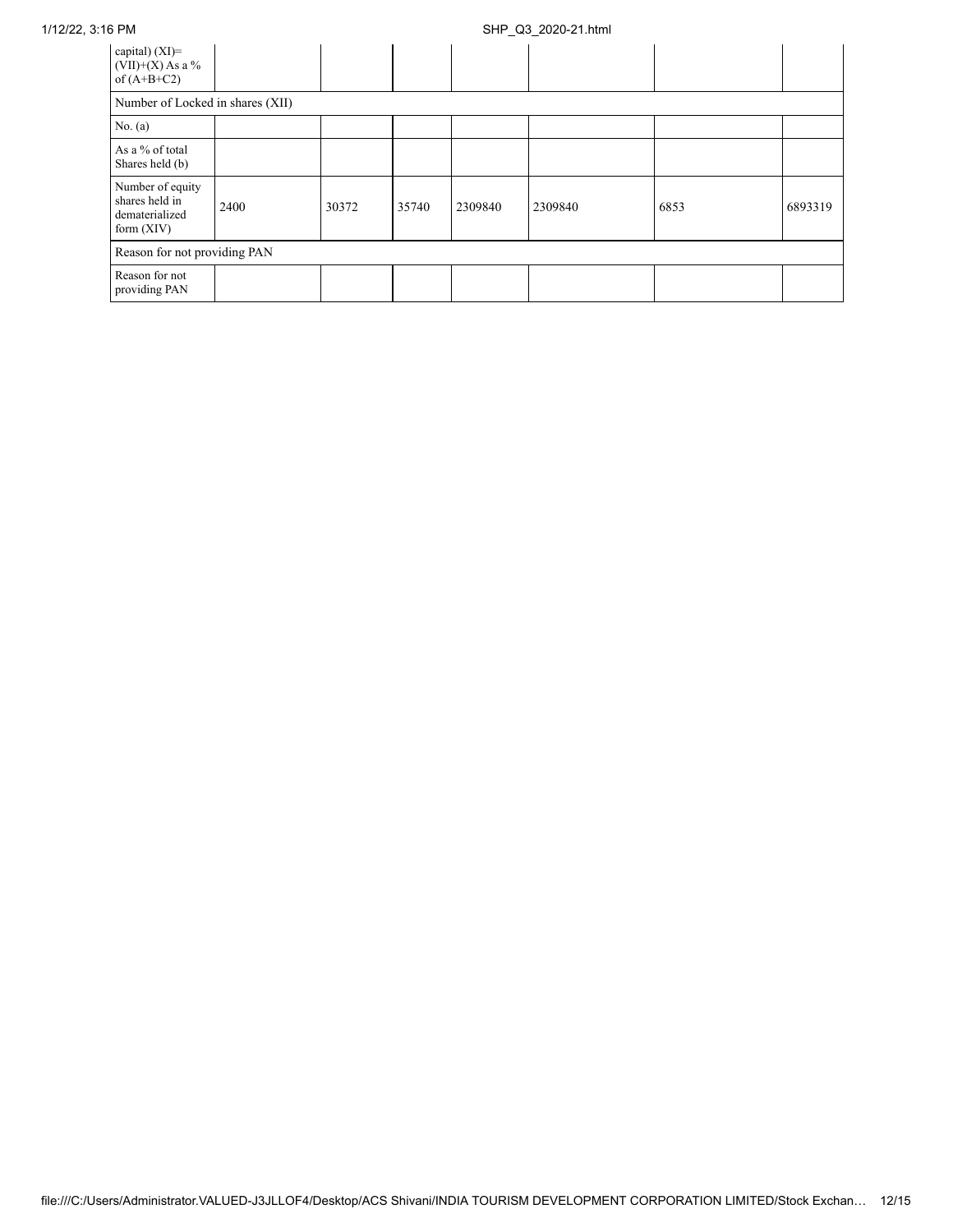## 1/12/22, 3:16 PM SHP\_Q3\_2020-21.html

| capital) $(XI)$ =<br>$(VII)+(X)$ As a %<br>of $(A+B+C2)$             |      |       |       |         |         |      |         |  |  |  |  |
|----------------------------------------------------------------------|------|-------|-------|---------|---------|------|---------|--|--|--|--|
| Number of Locked in shares (XII)                                     |      |       |       |         |         |      |         |  |  |  |  |
| No. (a)                                                              |      |       |       |         |         |      |         |  |  |  |  |
| As a % of total<br>Shares held (b)                                   |      |       |       |         |         |      |         |  |  |  |  |
| Number of equity<br>shares held in<br>dematerialized<br>form $(XIV)$ | 2400 | 30372 | 35740 | 2309840 | 2309840 | 6853 | 6893319 |  |  |  |  |
| Reason for not providing PAN                                         |      |       |       |         |         |      |         |  |  |  |  |
| Reason for not<br>providing PAN                                      |      |       |       |         |         |      |         |  |  |  |  |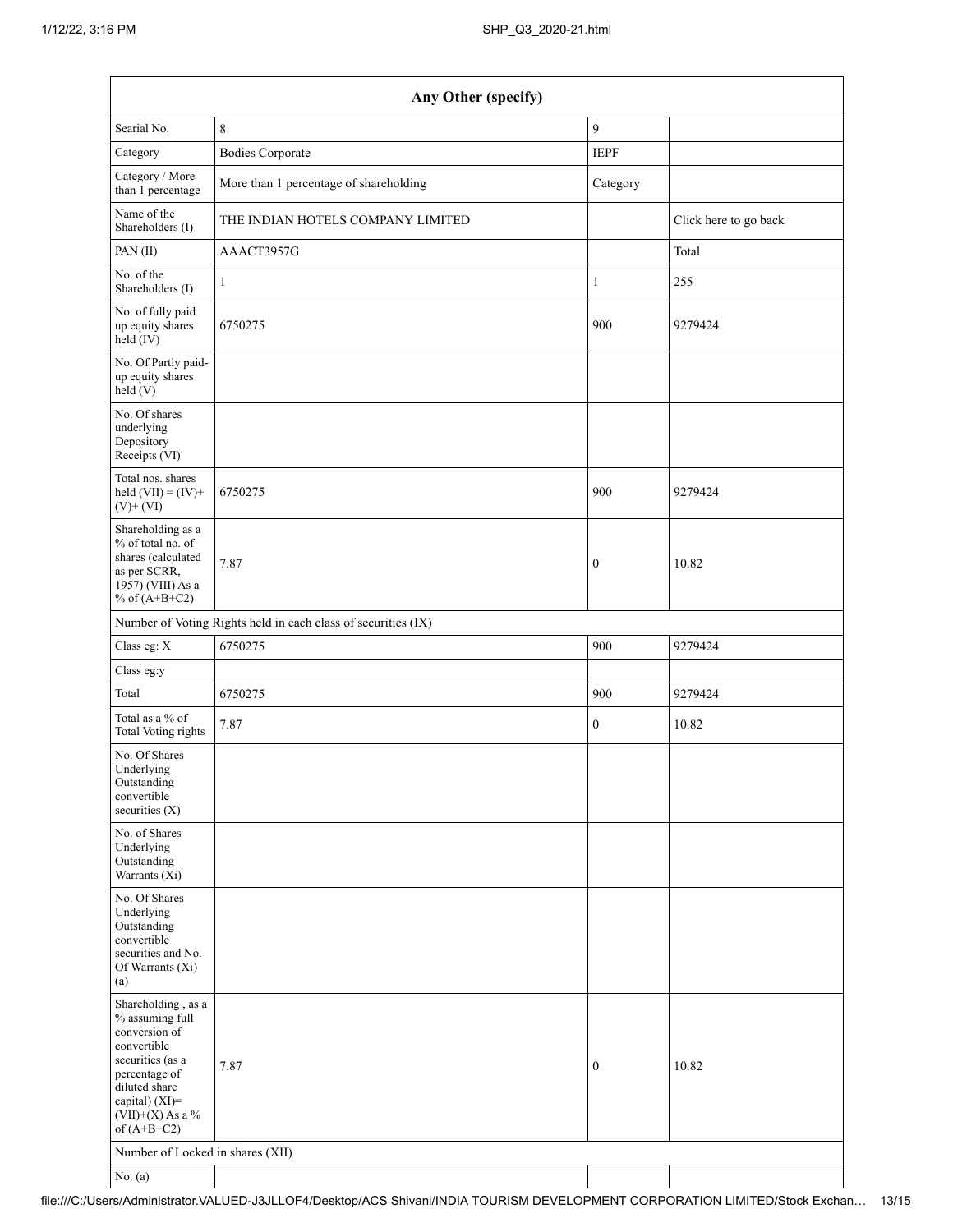| Any Other (specify)                                                                                                                                                                  |                                                               |                  |                       |  |
|--------------------------------------------------------------------------------------------------------------------------------------------------------------------------------------|---------------------------------------------------------------|------------------|-----------------------|--|
| Searial No.                                                                                                                                                                          | 8                                                             | 9                |                       |  |
| Category                                                                                                                                                                             | <b>Bodies Corporate</b>                                       | <b>IEPF</b>      |                       |  |
| Category / More<br>than 1 percentage                                                                                                                                                 | More than 1 percentage of shareholding                        | Category         |                       |  |
| Name of the<br>Shareholders (I)                                                                                                                                                      | THE INDIAN HOTELS COMPANY LIMITED                             |                  | Click here to go back |  |
| PAN(II)                                                                                                                                                                              | AAACT3957G                                                    |                  | Total                 |  |
| No. of the<br>Shareholders (I)                                                                                                                                                       | 1                                                             | 1                | 255                   |  |
| No. of fully paid<br>up equity shares<br>$\text{held} (IV)$                                                                                                                          | 6750275                                                       | 900              | 9279424               |  |
| No. Of Partly paid-<br>up equity shares<br>held(V)                                                                                                                                   |                                                               |                  |                       |  |
| No. Of shares<br>underlying<br>Depository<br>Receipts (VI)                                                                                                                           |                                                               |                  |                       |  |
| Total nos. shares<br>held $(VII) = (IV) +$<br>$(V)$ + $(VI)$                                                                                                                         | 6750275                                                       | 900              | 9279424               |  |
| Shareholding as a<br>% of total no. of<br>shares (calculated<br>as per SCRR,<br>1957) (VIII) As a<br>% of $(A+B+C2)$                                                                 | 7.87                                                          | $\boldsymbol{0}$ | 10.82                 |  |
|                                                                                                                                                                                      | Number of Voting Rights held in each class of securities (IX) |                  |                       |  |
| Class eg: X                                                                                                                                                                          | 6750275                                                       | 900              | 9279424               |  |
| Class eg:y                                                                                                                                                                           |                                                               |                  |                       |  |
| Total                                                                                                                                                                                | 6750275                                                       | 900              | 9279424               |  |
| Total as a % of<br><b>Total Voting rights</b>                                                                                                                                        | 7.87                                                          | $\boldsymbol{0}$ | 10.82                 |  |
| No. Of Shares<br>Underlying<br>Outstanding<br>convertible<br>securities (X)                                                                                                          |                                                               |                  |                       |  |
| No. of Shares<br>Underlying<br>Outstanding<br>Warrants (Xi)                                                                                                                          |                                                               |                  |                       |  |
| No. Of Shares<br>Underlying<br>Outstanding<br>convertible<br>securities and No.<br>Of Warrants (Xi)<br>(a)                                                                           |                                                               |                  |                       |  |
| Shareholding, as a<br>% assuming full<br>conversion of<br>convertible<br>securities (as a<br>percentage of<br>diluted share<br>capital) (XI)=<br>$(VII)+(X)$ As a %<br>of $(A+B+C2)$ | 7.87                                                          | $\boldsymbol{0}$ | 10.82                 |  |
| Number of Locked in shares (XII)                                                                                                                                                     |                                                               |                  |                       |  |
| No. (a)                                                                                                                                                                              |                                                               |                  |                       |  |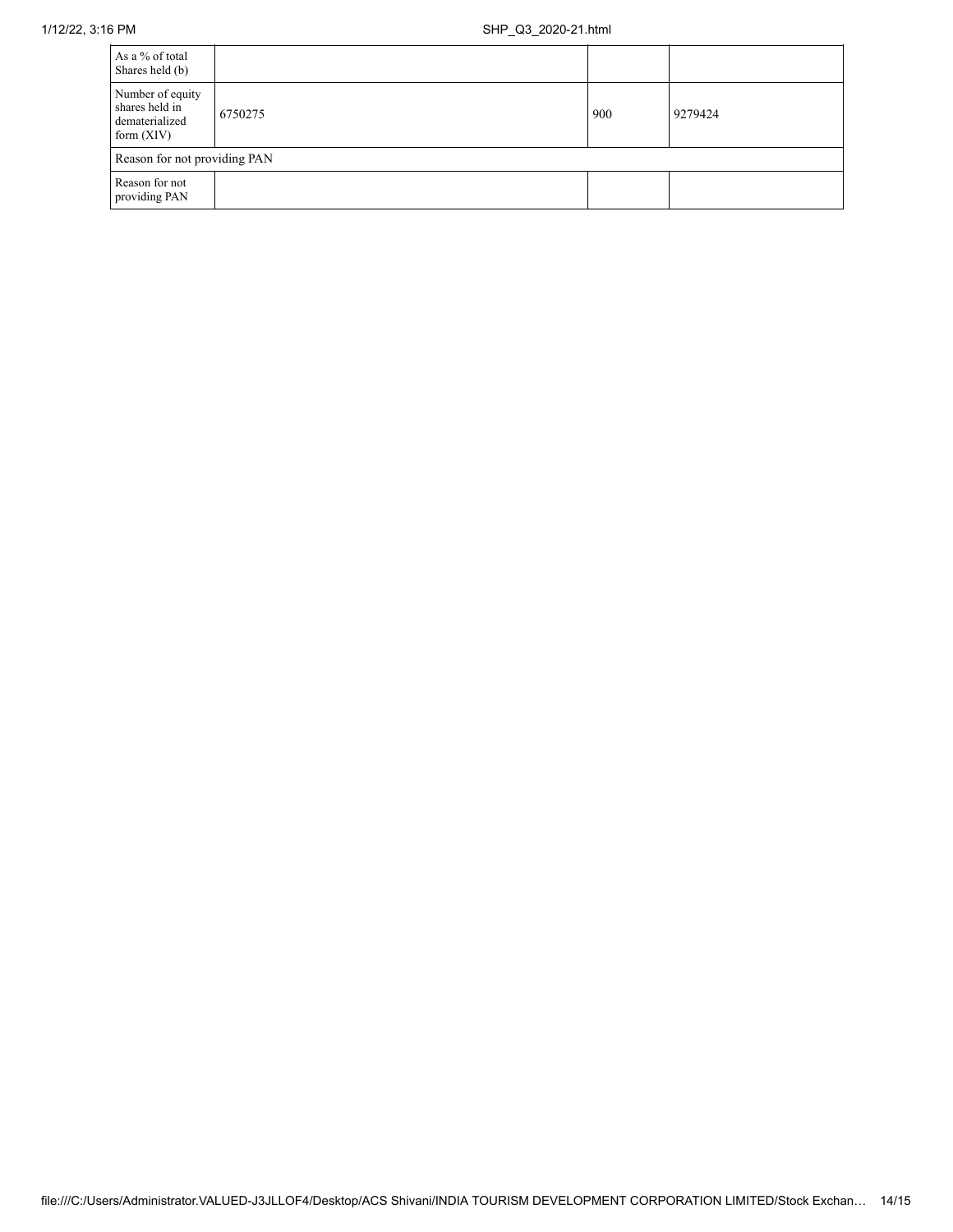| As a % of total<br>Shares held (b)                                   |         |     |         |  |
|----------------------------------------------------------------------|---------|-----|---------|--|
| Number of equity<br>shares held in<br>dematerialized<br>form $(XIV)$ | 6750275 | 900 | 9279424 |  |
| Reason for not providing PAN                                         |         |     |         |  |
| Reason for not<br>providing PAN                                      |         |     |         |  |